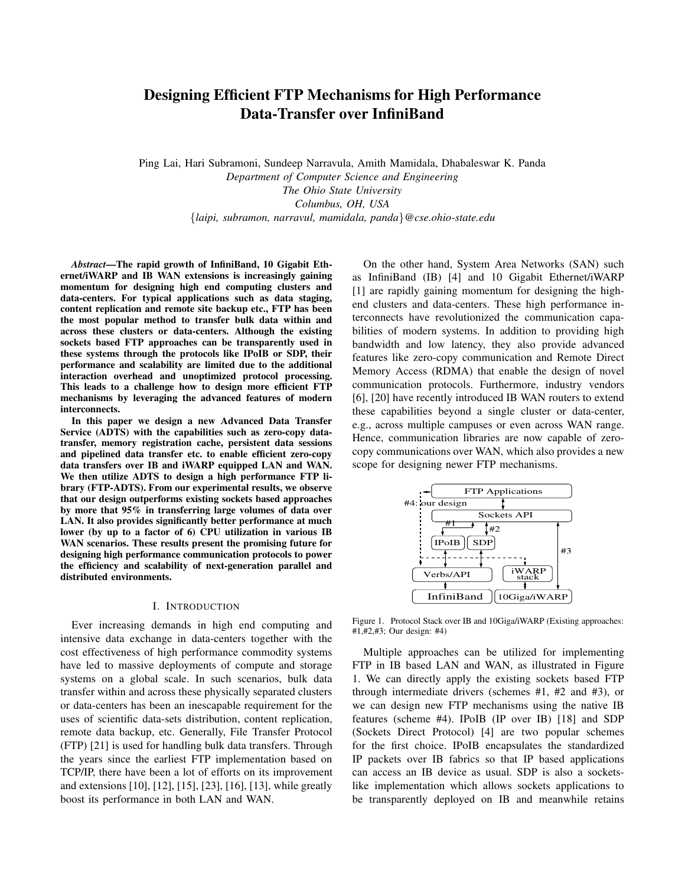# **Designing Efficient FTP Mechanisms for High Performance Data-Transfer over InfiniBand**

Ping Lai, Hari Subramoni, Sundeep Narravula, Amith Mamidala, Dhabaleswar K. Panda *Department of Computer Science and Engineering The Ohio State University Columbus, OH, USA* {*laipi, subramon, narravul, mamidala, panda*}*@cse.ohio-state.edu*

*Abstract***—The rapid growth of InfiniBand, 10 Gigabit Ethernet/iWARP and IB WAN extensions is increasingly gaining momentum for designing high end computing clusters and data-centers. For typical applications such as data staging, content replication and remote site backup etc., FTP has been the most popular method to transfer bulk data within and across these clusters or data-centers. Although the existing sockets based FTP approaches can be transparently used in these systems through the protocols like IPoIB or SDP, their performance and scalability are limited due to the additional interaction overhead and unoptimized protocol processing. This leads to a challenge how to design more efficient FTP mechanisms by leveraging the advanced features of modern interconnects.**

**In this paper we design a new Advanced Data Transfer Service (ADTS) with the capabilities such as zero-copy datatransfer, memory registration cache, persistent data sessions and pipelined data transfer etc. to enable efficient zero-copy data transfers over IB and iWARP equipped LAN and WAN. We then utilize ADTS to design a high performance FTP library (FTP-ADTS). From our experimental results, we observe that our design outperforms existing sockets based approaches by more that 95% in transferring large volumes of data over LAN. It also provides significantly better performance at much lower (by up to a factor of 6) CPU utilization in various IB WAN scenarios. These results present the promising future for designing high performance communication protocols to power the efficiency and scalability of next-generation parallel and distributed environments.**

#### I. INTRODUCTION

Ever increasing demands in high end computing and intensive data exchange in data-centers together with the cost effectiveness of high performance commodity systems have led to massive deployments of compute and storage systems on a global scale. In such scenarios, bulk data transfer within and across these physically separated clusters or data-centers has been an inescapable requirement for the uses of scientific data-sets distribution, content replication, remote data backup, etc. Generally, File Transfer Protocol (FTP) [21] is used for handling bulk data transfers. Through the years since the earliest FTP implementation based on TCP/IP, there have been a lot of efforts on its improvement and extensions [10], [12], [15], [23], [16], [13], while greatly boost its performance in both LAN and WAN.

On the other hand, System Area Networks (SAN) such as InfiniBand (IB) [4] and 10 Gigabit Ethernet/iWARP [1] are rapidly gaining momentum for designing the highend clusters and data-centers. These high performance interconnects have revolutionized the communication capabilities of modern systems. In addition to providing high bandwidth and low latency, they also provide advanced features like zero-copy communication and Remote Direct Memory Access (RDMA) that enable the design of novel communication protocols. Furthermore, industry vendors [6], [20] have recently introduced IB WAN routers to extend these capabilities beyond a single cluster or data-center, e.g., across multiple campuses or even across WAN range. Hence, communication libraries are now capable of zerocopy communications over WAN, which also provides a new scope for designing newer FTP mechanisms.



Figure 1. Protocol Stack over IB and 10Giga/iWARP (Existing approaches: #1,#2,#3; Our design: #4)

Multiple approaches can be utilized for implementing FTP in IB based LAN and WAN, as illustrated in Figure 1. We can directly apply the existing sockets based FTP through intermediate drivers (schemes #1, #2 and #3), or we can design new FTP mechanisms using the native IB features (scheme #4). IPoIB (IP over IB) [18] and SDP (Sockets Direct Protocol) [4] are two popular schemes for the first choice. IPoIB encapsulates the standardized IP packets over IB fabrics so that IP based applications can access an IB device as usual. SDP is also a socketslike implementation which allows sockets applications to be transparently deployed on IB and meanwhile retains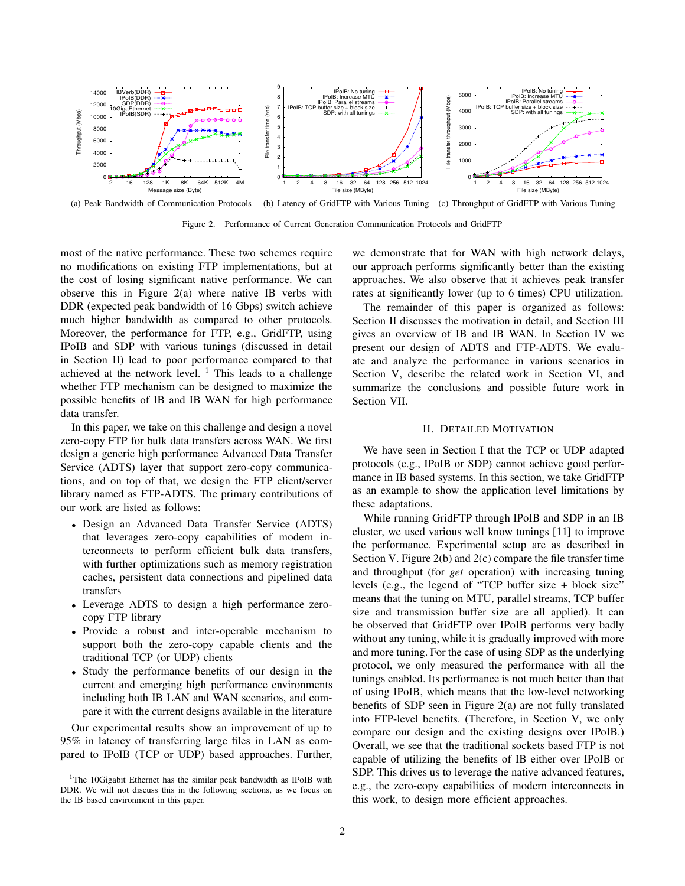

(a) Peak Bandwidth of Communication Protocols (b) Latency of GridFTP with Various Tuning (c) Throughput of GridFTP with Various Tuning

Figure 2. Performance of Current Generation Communication Protocols and GridFTP

most of the native performance. These two schemes require no modifications on existing FTP implementations, but at the cost of losing significant native performance. We can observe this in Figure 2(a) where native IB verbs with DDR (expected peak bandwidth of 16 Gbps) switch achieve much higher bandwidth as compared to other protocols. Moreover, the performance for FTP, e.g., GridFTP, using IPoIB and SDP with various tunings (discussed in detail in Section II) lead to poor performance compared to that achieved at the network level.  $1$  This leads to a challenge whether FTP mechanism can be designed to maximize the possible benefits of IB and IB WAN for high performance data transfer.

In this paper, we take on this challenge and design a novel zero-copy FTP for bulk data transfers across WAN. We first design a generic high performance Advanced Data Transfer Service (ADTS) layer that support zero-copy communications, and on top of that, we design the FTP client/server library named as FTP-ADTS. The primary contributions of our work are listed as follows:

- Design an Advanced Data Transfer Service (ADTS) that leverages zero-copy capabilities of modern interconnects to perform efficient bulk data transfers, with further optimizations such as memory registration caches, persistent data connections and pipelined data transfers
- Leverage ADTS to design a high performance zerocopy FTP library
- Provide a robust and inter-operable mechanism to support both the zero-copy capable clients and the traditional TCP (or UDP) clients
- Study the performance benefits of our design in the current and emerging high performance environments including both IB LAN and WAN scenarios, and compare it with the current designs available in the literature

Our experimental results show an improvement of up to 95% in latency of transferring large files in LAN as compared to IPoIB (TCP or UDP) based approaches. Further, we demonstrate that for WAN with high network delays, our approach performs significantly better than the existing approaches. We also observe that it achieves peak transfer rates at significantly lower (up to 6 times) CPU utilization.

The remainder of this paper is organized as follows: Section II discusses the motivation in detail, and Section III gives an overview of IB and IB WAN. In Section IV we present our design of ADTS and FTP-ADTS. We evaluate and analyze the performance in various scenarios in Section V, describe the related work in Section VI, and summarize the conclusions and possible future work in Section VII.

## II. DETAILED MOTIVATION

We have seen in Section I that the TCP or UDP adapted protocols (e.g., IPoIB or SDP) cannot achieve good performance in IB based systems. In this section, we take GridFTP as an example to show the application level limitations by these adaptations.

While running GridFTP through IPoIB and SDP in an IB cluster, we used various well know tunings [11] to improve the performance. Experimental setup are as described in Section V. Figure 2(b) and 2(c) compare the file transfer time and throughput (for *get* operation) with increasing tuning levels (e.g., the legend of "TCP buffer size + block size" means that the tuning on MTU, parallel streams, TCP buffer size and transmission buffer size are all applied). It can be observed that GridFTP over IPoIB performs very badly without any tuning, while it is gradually improved with more and more tuning. For the case of using SDP as the underlying protocol, we only measured the performance with all the tunings enabled. Its performance is not much better than that of using IPoIB, which means that the low-level networking benefits of SDP seen in Figure 2(a) are not fully translated into FTP-level benefits. (Therefore, in Section V, we only compare our design and the existing designs over IPoIB.) Overall, we see that the traditional sockets based FTP is not capable of utilizing the benefits of IB either over IPoIB or SDP. This drives us to leverage the native advanced features, e.g., the zero-copy capabilities of modern interconnects in this work, to design more efficient approaches.

<sup>&</sup>lt;sup>1</sup>The 10Gigabit Ethernet has the similar peak bandwidth as IPoIB with DDR. We will not discuss this in the following sections, as we focus on the IB based environment in this paper.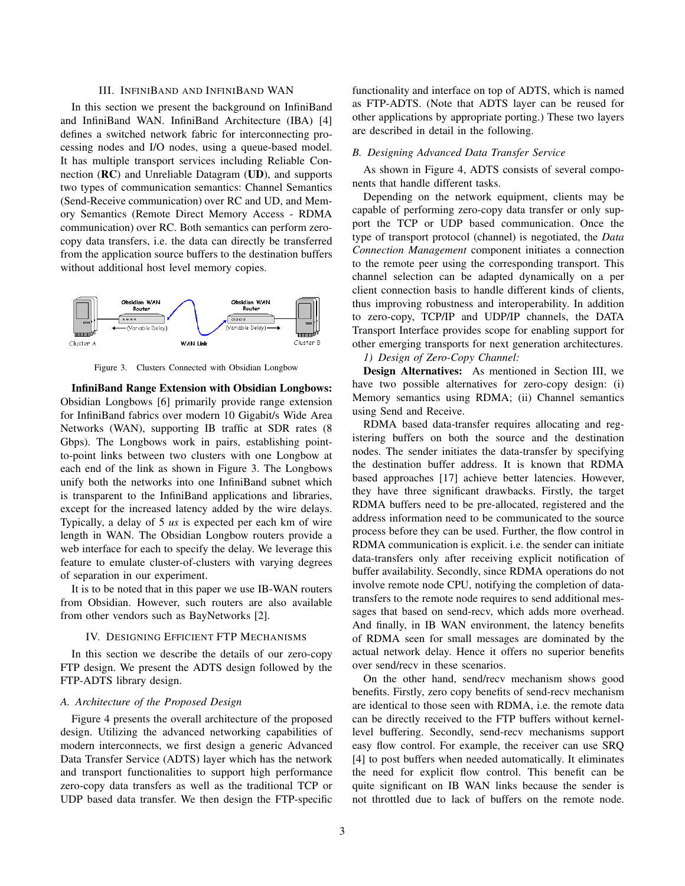# III. INFINIBAND AND INFINIBAND WAN

In this section we present the background on InfiniBand and InfiniBand WAN. InfiniBand Architecture (IBA) [4] defines a switched network fabric for interconnecting processing nodes and I/O nodes, using a queue-based model. It has multiple transport services including Reliable Connection (**RC**) and Unreliable Datagram (**UD**), and supports two types of communication semantics: Channel Semantics (Send-Receive communication) over RC and UD, and Memory Semantics (Remote Direct Memory Access - RDMA communication) over RC. Both semantics can perform zerocopy data transfers, i.e. the data can directly be transferred from the application source buffers to the destination buffers without additional host level memory copies.



Figure 3. Clusters Connected with Obsidian Longbow

**InfiniBand Range Extension with Obsidian Longbows:** Obsidian Longbows [6] primarily provide range extension for InfiniBand fabrics over modern 10 Gigabit/s Wide Area Networks (WAN), supporting IB traffic at SDR rates (8 Gbps). The Longbows work in pairs, establishing pointto-point links between two clusters with one Longbow at each end of the link as shown in Figure 3. The Longbows unify both the networks into one InfiniBand subnet which is transparent to the InfiniBand applications and libraries, except for the increased latency added by the wire delays. Typically, a delay of 5 *us* is expected per each km of wire length in WAN. The Obsidian Longbow routers provide a web interface for each to specify the delay. We leverage this feature to emulate cluster-of-clusters with varying degrees of separation in our experiment.

It is to be noted that in this paper we use IB-WAN routers from Obsidian. However, such routers are also available from other vendors such as BayNetworks [2].

#### IV. DESIGNING EFFICIENT FTP MECHANISMS

In this section we describe the details of our zero-copy FTP design. We present the ADTS design followed by the FTP-ADTS library design.

# *A. Architecture of the Proposed Design*

Figure 4 presents the overall architecture of the proposed design. Utilizing the advanced networking capabilities of modern interconnects, we first design a generic Advanced Data Transfer Service (ADTS) layer which has the network and transport functionalities to support high performance zero-copy data transfers as well as the traditional TCP or UDP based data transfer. We then design the FTP-specific functionality and interface on top of ADTS, which is named as FTP-ADTS. (Note that ADTS layer can be reused for other applications by appropriate porting.) These two layers are described in detail in the following.

# *B. Designing Advanced Data Transfer Service*

As shown in Figure 4, ADTS consists of several components that handle different tasks.

Depending on the network equipment, clients may be capable of performing zero-copy data transfer or only support the TCP or UDP based communication. Once the type of transport protocol (channel) is negotiated, the *Data Connection Management* component initiates a connection to the remote peer using the corresponding transport. This channel selection can be adapted dynamically on a per client connection basis to handle different kinds of clients, thus improving robustness and interoperability. In addition to zero-copy, TCP/IP and UDP/IP channels, the DATA Transport Interface provides scope for enabling support for other emerging transports for next generation architectures.

*1) Design of Zero-Copy Channel:*

**Design Alternatives:** As mentioned in Section III, we have two possible alternatives for zero-copy design: (i) Memory semantics using RDMA; (ii) Channel semantics using Send and Receive.

RDMA based data-transfer requires allocating and registering buffers on both the source and the destination nodes. The sender initiates the data-transfer by specifying the destination buffer address. It is known that RDMA based approaches [17] achieve better latencies. However, they have three significant drawbacks. Firstly, the target RDMA buffers need to be pre-allocated, registered and the address information need to be communicated to the source process before they can be used. Further, the flow control in RDMA communication is explicit. i.e. the sender can initiate data-transfers only after receiving explicit notification of buffer availability. Secondly, since RDMA operations do not involve remote node CPU, notifying the completion of datatransfers to the remote node requires to send additional messages that based on send-recv, which adds more overhead. And finally, in IB WAN environment, the latency benefits of RDMA seen for small messages are dominated by the actual network delay. Hence it offers no superior benefits over send/recv in these scenarios.

On the other hand, send/recv mechanism shows good benefits. Firstly, zero copy benefits of send-recv mechanism are identical to those seen with RDMA, i.e. the remote data can be directly received to the FTP buffers without kernellevel buffering. Secondly, send-recv mechanisms support easy flow control. For example, the receiver can use SRQ [4] to post buffers when needed automatically. It eliminates the need for explicit flow control. This benefit can be quite significant on IB WAN links because the sender is not throttled due to lack of buffers on the remote node.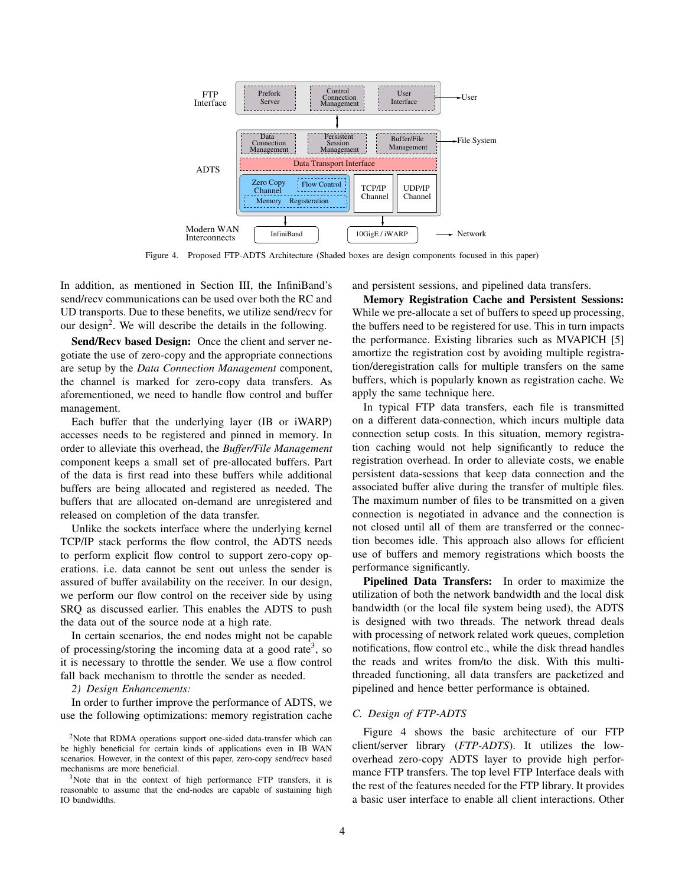

Figure 4. Proposed FTP-ADTS Architecture (Shaded boxes are design components focused in this paper)

In addition, as mentioned in Section III, the InfiniBand's send/recv communications can be used over both the RC and UD transports. Due to these benefits, we utilize send/recv for our design<sup>2</sup>. We will describe the details in the following.

**Send/Recv based Design:** Once the client and server negotiate the use of zero-copy and the appropriate connections are setup by the *Data Connection Management* component, the channel is marked for zero-copy data transfers. As aforementioned, we need to handle flow control and buffer management.

Each buffer that the underlying layer (IB or iWARP) accesses needs to be registered and pinned in memory. In order to alleviate this overhead, the *Buffer/File Management* component keeps a small set of pre-allocated buffers. Part of the data is first read into these buffers while additional buffers are being allocated and registered as needed. The buffers that are allocated on-demand are unregistered and released on completion of the data transfer.

Unlike the sockets interface where the underlying kernel TCP/IP stack performs the flow control, the ADTS needs to perform explicit flow control to support zero-copy operations. i.e. data cannot be sent out unless the sender is assured of buffer availability on the receiver. In our design, we perform our flow control on the receiver side by using SRQ as discussed earlier. This enables the ADTS to push the data out of the source node at a high rate.

In certain scenarios, the end nodes might not be capable of processing/storing the incoming data at a good rate<sup>3</sup>, so it is necessary to throttle the sender. We use a flow control fall back mechanism to throttle the sender as needed.

## *2) Design Enhancements:*

In order to further improve the performance of ADTS, we use the following optimizations: memory registration cache and persistent sessions, and pipelined data transfers.

**Memory Registration Cache and Persistent Sessions:** While we pre-allocate a set of buffers to speed up processing, the buffers need to be registered for use. This in turn impacts the performance. Existing libraries such as MVAPICH [5] amortize the registration cost by avoiding multiple registration/deregistration calls for multiple transfers on the same buffers, which is popularly known as registration cache. We apply the same technique here.

In typical FTP data transfers, each file is transmitted on a different data-connection, which incurs multiple data connection setup costs. In this situation, memory registration caching would not help significantly to reduce the registration overhead. In order to alleviate costs, we enable persistent data-sessions that keep data connection and the associated buffer alive during the transfer of multiple files. The maximum number of files to be transmitted on a given connection is negotiated in advance and the connection is not closed until all of them are transferred or the connection becomes idle. This approach also allows for efficient use of buffers and memory registrations which boosts the performance significantly.

**Pipelined Data Transfers:** In order to maximize the utilization of both the network bandwidth and the local disk bandwidth (or the local file system being used), the ADTS is designed with two threads. The network thread deals with processing of network related work queues, completion notifications, flow control etc., while the disk thread handles the reads and writes from/to the disk. With this multithreaded functioning, all data transfers are packetized and pipelined and hence better performance is obtained.

# *C. Design of FTP-ADTS*

Figure 4 shows the basic architecture of our FTP client/server library (*FTP-ADTS*). It utilizes the lowoverhead zero-copy ADTS layer to provide high performance FTP transfers. The top level FTP Interface deals with the rest of the features needed for the FTP library. It provides a basic user interface to enable all client interactions. Other

<sup>&</sup>lt;sup>2</sup>Note that RDMA operations support one-sided data-transfer which can be highly beneficial for certain kinds of applications even in IB WAN scenarios. However, in the context of this paper, zero-copy send/recv based mechanisms are more beneficial.

<sup>&</sup>lt;sup>3</sup>Note that in the context of high performance FTP transfers, it is reasonable to assume that the end-nodes are capable of sustaining high IO bandwidths.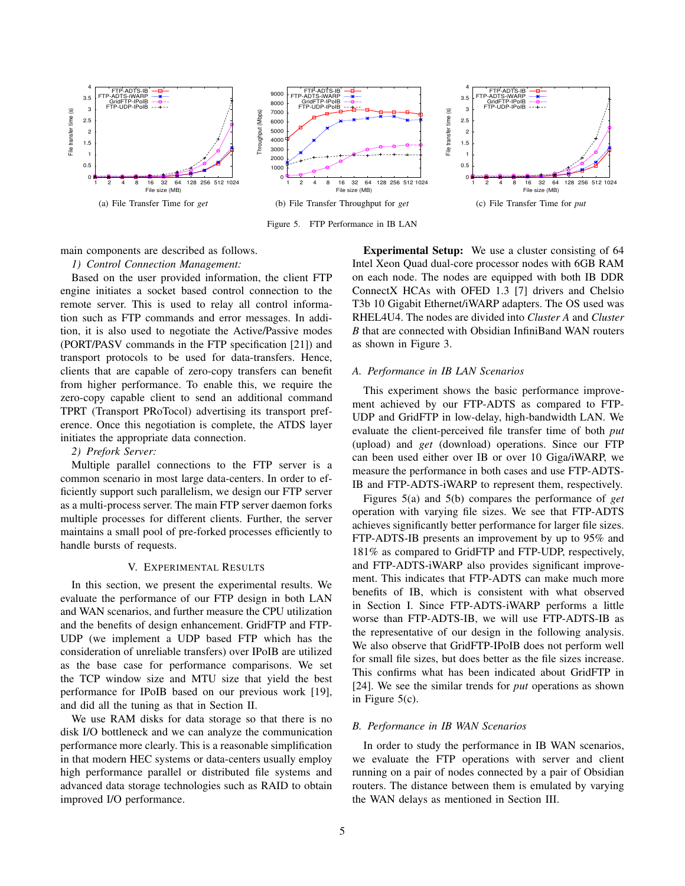

Figure 5. FTP Performance in IB LAN

main components are described as follows.

*1) Control Connection Management:*

Based on the user provided information, the client FTP engine initiates a socket based control connection to the remote server. This is used to relay all control information such as FTP commands and error messages. In addition, it is also used to negotiate the Active/Passive modes (PORT/PASV commands in the FTP specification [21]) and transport protocols to be used for data-transfers. Hence, clients that are capable of zero-copy transfers can benefit from higher performance. To enable this, we require the zero-copy capable client to send an additional command TPRT (Transport PRoTocol) advertising its transport preference. Once this negotiation is complete, the ATDS layer initiates the appropriate data connection.

# *2) Prefork Server:*

Multiple parallel connections to the FTP server is a common scenario in most large data-centers. In order to efficiently support such parallelism, we design our FTP server as a multi-process server. The main FTP server daemon forks multiple processes for different clients. Further, the server maintains a small pool of pre-forked processes efficiently to handle bursts of requests.

#### V. EXPERIMENTAL RESULTS

In this section, we present the experimental results. We evaluate the performance of our FTP design in both LAN and WAN scenarios, and further measure the CPU utilization and the benefits of design enhancement. GridFTP and FTP-UDP (we implement a UDP based FTP which has the consideration of unreliable transfers) over IPoIB are utilized as the base case for performance comparisons. We set the TCP window size and MTU size that yield the best performance for IPoIB based on our previous work [19], and did all the tuning as that in Section II.

We use RAM disks for data storage so that there is no disk I/O bottleneck and we can analyze the communication performance more clearly. This is a reasonable simplification in that modern HEC systems or data-centers usually employ high performance parallel or distributed file systems and advanced data storage technologies such as RAID to obtain improved I/O performance.

**Experimental Setup:** We use a cluster consisting of 64 Intel Xeon Quad dual-core processor nodes with 6GB RAM on each node. The nodes are equipped with both IB DDR ConnectX HCAs with OFED 1.3 [7] drivers and Chelsio T3b 10 Gigabit Ethernet/iWARP adapters. The OS used was RHEL4U4. The nodes are divided into *Cluster A* and *Cluster B* that are connected with Obsidian InfiniBand WAN routers as shown in Figure 3.

#### *A. Performance in IB LAN Scenarios*

This experiment shows the basic performance improvement achieved by our FTP-ADTS as compared to FTP-UDP and GridFTP in low-delay, high-bandwidth LAN. We evaluate the client-perceived file transfer time of both *put* (upload) and *get* (download) operations. Since our FTP can been used either over IB or over 10 Giga/iWARP, we measure the performance in both cases and use FTP-ADTS-IB and FTP-ADTS-iWARP to represent them, respectively.

Figures 5(a) and 5(b) compares the performance of *get* operation with varying file sizes. We see that FTP-ADTS achieves significantly better performance for larger file sizes. FTP-ADTS-IB presents an improvement by up to 95% and 181% as compared to GridFTP and FTP-UDP, respectively, and FTP-ADTS-iWARP also provides significant improvement. This indicates that FTP-ADTS can make much more benefits of IB, which is consistent with what observed in Section I. Since FTP-ADTS-iWARP performs a little worse than FTP-ADTS-IB, we will use FTP-ADTS-IB as the representative of our design in the following analysis. We also observe that GridFTP-IPoIB does not perform well for small file sizes, but does better as the file sizes increase. This confirms what has been indicated about GridFTP in [24]. We see the similar trends for *put* operations as shown in Figure 5(c).

## *B. Performance in IB WAN Scenarios*

In order to study the performance in IB WAN scenarios, we evaluate the FTP operations with server and client running on a pair of nodes connected by a pair of Obsidian routers. The distance between them is emulated by varying the WAN delays as mentioned in Section III.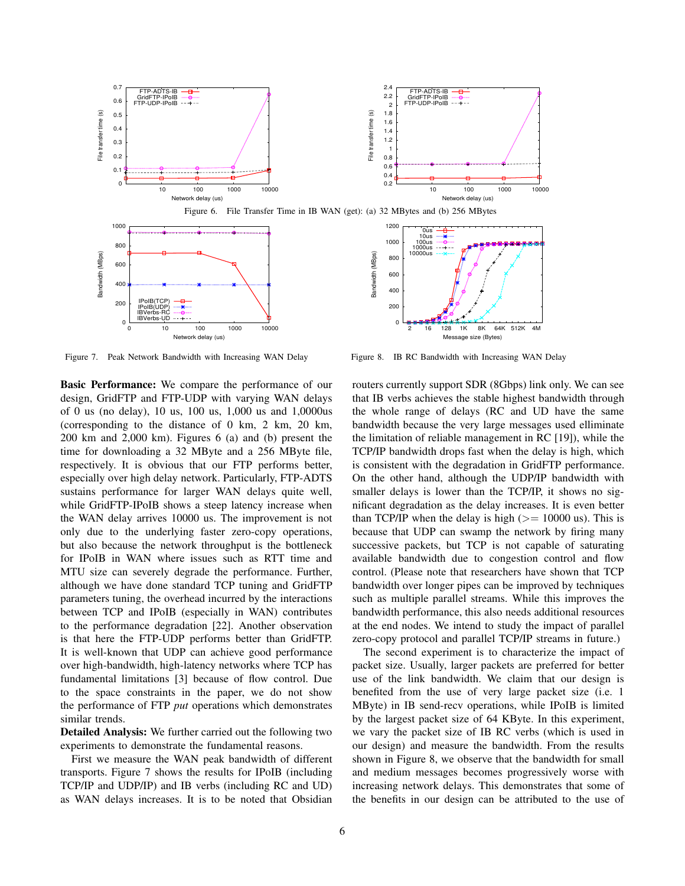

Figure 7. Peak Network Bandwidth with Increasing WAN Delay

**Basic Performance:** We compare the performance of our design, GridFTP and FTP-UDP with varying WAN delays of 0 us (no delay), 10 us, 100 us, 1,000 us and 1,0000us (corresponding to the distance of 0 km, 2 km, 20 km, 200 km and 2,000 km). Figures 6 (a) and (b) present the time for downloading a 32 MByte and a 256 MByte file, respectively. It is obvious that our FTP performs better, especially over high delay network. Particularly, FTP-ADTS sustains performance for larger WAN delays quite well, while GridFTP-IPoIB shows a steep latency increase when the WAN delay arrives 10000 us. The improvement is not only due to the underlying faster zero-copy operations, but also because the network throughput is the bottleneck for IPoIB in WAN where issues such as RTT time and MTU size can severely degrade the performance. Further, although we have done standard TCP tuning and GridFTP parameters tuning, the overhead incurred by the interactions between TCP and IPoIB (especially in WAN) contributes to the performance degradation [22]. Another observation is that here the FTP-UDP performs better than GridFTP. It is well-known that UDP can achieve good performance over high-bandwidth, high-latency networks where TCP has fundamental limitations [3] because of flow control. Due to the space constraints in the paper, we do not show the performance of FTP *put* operations which demonstrates similar trends.

**Detailed Analysis:** We further carried out the following two experiments to demonstrate the fundamental reasons.

First we measure the WAN peak bandwidth of different transports. Figure 7 shows the results for IPoIB (including TCP/IP and UDP/IP) and IB verbs (including RC and UD) as WAN delays increases. It is to be noted that Obsidian



Figure 8. IB RC Bandwidth with Increasing WAN Delay

routers currently support SDR (8Gbps) link only. We can see that IB verbs achieves the stable highest bandwidth through the whole range of delays (RC and UD have the same bandwidth because the very large messages used elliminate the limitation of reliable management in RC [19]), while the TCP/IP bandwidth drops fast when the delay is high, which is consistent with the degradation in GridFTP performance. On the other hand, although the UDP/IP bandwidth with smaller delays is lower than the TCP/IP, it shows no significant degradation as the delay increases. It is even better than TCP/IP when the delay is high ( $>= 10000$  us). This is because that UDP can swamp the network by firing many successive packets, but TCP is not capable of saturating available bandwidth due to congestion control and flow control. (Please note that researchers have shown that TCP bandwidth over longer pipes can be improved by techniques such as multiple parallel streams. While this improves the bandwidth performance, this also needs additional resources at the end nodes. We intend to study the impact of parallel zero-copy protocol and parallel TCP/IP streams in future.)

The second experiment is to characterize the impact of packet size. Usually, larger packets are preferred for better use of the link bandwidth. We claim that our design is benefited from the use of very large packet size (i.e. 1 MByte) in IB send-recv operations, while IPoIB is limited by the largest packet size of 64 KByte. In this experiment, we vary the packet size of IB RC verbs (which is used in our design) and measure the bandwidth. From the results shown in Figure 8, we observe that the bandwidth for small and medium messages becomes progressively worse with increasing network delays. This demonstrates that some of the benefits in our design can be attributed to the use of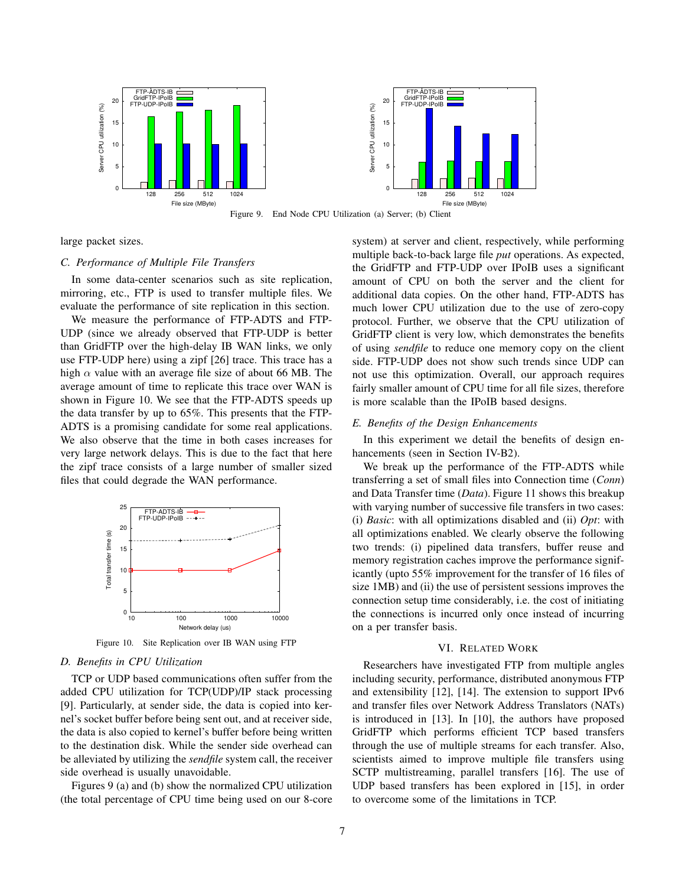

large packet sizes.

# *C. Performance of Multiple File Transfers*

In some data-center scenarios such as site replication, mirroring, etc., FTP is used to transfer multiple files. We evaluate the performance of site replication in this section.

We measure the performance of FTP-ADTS and FTP-UDP (since we already observed that FTP-UDP is better than GridFTP over the high-delay IB WAN links, we only use FTP-UDP here) using a zipf [26] trace. This trace has a high  $\alpha$  value with an average file size of about 66 MB. The average amount of time to replicate this trace over WAN is shown in Figure 10. We see that the FTP-ADTS speeds up the data transfer by up to 65%. This presents that the FTP-ADTS is a promising candidate for some real applications. We also observe that the time in both cases increases for very large network delays. This is due to the fact that here the zipf trace consists of a large number of smaller sized files that could degrade the WAN performance.



Figure 10. Site Replication over IB WAN using FTP

# *D. Benefits in CPU Utilization*

TCP or UDP based communications often suffer from the added CPU utilization for TCP(UDP)/IP stack processing [9]. Particularly, at sender side, the data is copied into kernel's socket buffer before being sent out, and at receiver side, the data is also copied to kernel's buffer before being written to the destination disk. While the sender side overhead can be alleviated by utilizing the *sendfile* system call, the receiver side overhead is usually unavoidable.

Figures 9 (a) and (b) show the normalized CPU utilization (the total percentage of CPU time being used on our 8-core system) at server and client, respectively, while performing multiple back-to-back large file *put* operations. As expected, the GridFTP and FTP-UDP over IPoIB uses a significant amount of CPU on both the server and the client for additional data copies. On the other hand, FTP-ADTS has much lower CPU utilization due to the use of zero-copy protocol. Further, we observe that the CPU utilization of GridFTP client is very low, which demonstrates the benefits of using *sendfile* to reduce one memory copy on the client side. FTP-UDP does not show such trends since UDP can not use this optimization. Overall, our approach requires fairly smaller amount of CPU time for all file sizes, therefore is more scalable than the IPoIB based designs.

## *E. Benefits of the Design Enhancements*

In this experiment we detail the benefits of design enhancements (seen in Section IV-B2).

We break up the performance of the FTP-ADTS while transferring a set of small files into Connection time (*Conn*) and Data Transfer time (*Data*). Figure 11 shows this breakup with varying number of successive file transfers in two cases: (i) *Basic*: with all optimizations disabled and (ii) *Opt*: with all optimizations enabled. We clearly observe the following two trends: (i) pipelined data transfers, buffer reuse and memory registration caches improve the performance significantly (upto 55% improvement for the transfer of 16 files of size 1MB) and (ii) the use of persistent sessions improves the connection setup time considerably, i.e. the cost of initiating the connections is incurred only once instead of incurring on a per transfer basis.

## VI. RELATED WORK

Researchers have investigated FTP from multiple angles including security, performance, distributed anonymous FTP and extensibility [12], [14]. The extension to support IPv6 and transfer files over Network Address Translators (NATs) is introduced in [13]. In [10], the authors have proposed GridFTP which performs efficient TCP based transfers through the use of multiple streams for each transfer. Also, scientists aimed to improve multiple file transfers using SCTP multistreaming, parallel transfers [16]. The use of UDP based transfers has been explored in [15], in order to overcome some of the limitations in TCP.